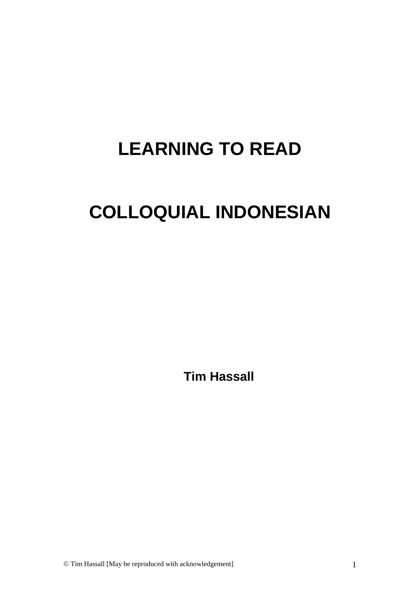# **LEARNING TO READ**

# **COLLOQUIAL INDONESIAN**

**Tim Hassall**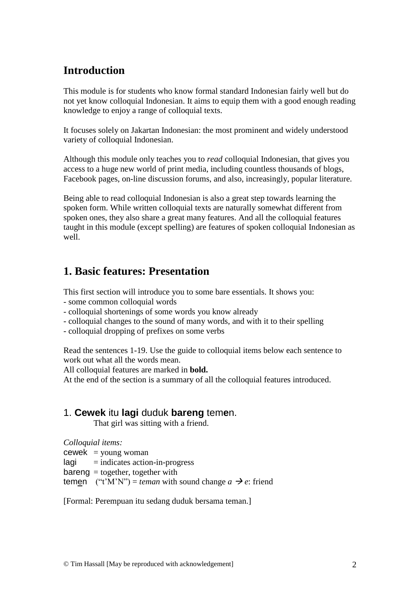# **Introduction**

This module is for students who know formal standard Indonesian fairly well but do not yet know colloquial Indonesian. It aims to equip them with a good enough reading knowledge to enjoy a range of colloquial texts.

It focuses solely on Jakartan Indonesian: the most prominent and widely understood variety of colloquial Indonesian.

Although this module only teaches you to *read* colloquial Indonesian, that gives you access to a huge new world of print media, including countless thousands of blogs, Facebook pages, on-line discussion forums, and also, increasingly, popular literature.

Being able to read colloquial Indonesian is also a great step towards learning the spoken form. While written colloquial texts are naturally somewhat different from spoken ones, they also share a great many features. And all the colloquial features taught in this module (except spelling) are features of spoken colloquial Indonesian as well.

## **1. Basic features: Presentation**

This first section will introduce you to some bare essentials. It shows you:

- some common colloquial words
- colloquial shortenings of some words you know already
- colloquial changes to the sound of many words, and with it to their spelling

- colloquial dropping of prefixes on some verbs

Read the sentences 1-19. Use the guide to colloquial items below each sentence to work out what all the words mean.

All colloquial features are marked in **bold.**

At the end of the section is a summary of all the colloquial features introduced.

#### 1. **Cewek** itu **lagi** duduk **bareng** tem**e**n.

That girl was sitting with a friend.

*Colloquial items:*

 $c$ ewek = young woman

 $l$ agi  $=$  indicates action-in-progress

 $bareng = together, together with$ 

temen ("t'M'N") = *teman* with sound change  $a \rightarrow e$ : friend

[Formal: Perempuan itu sedang duduk bersama teman.]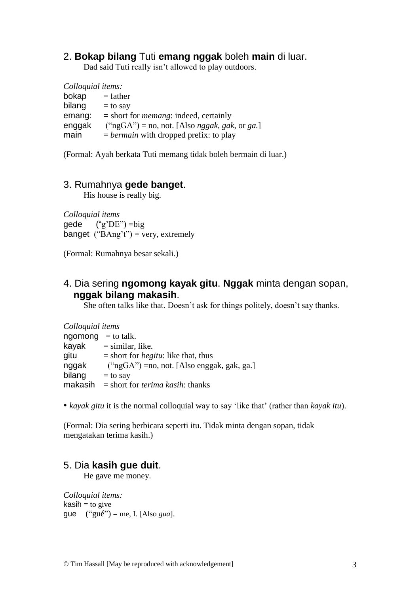#### 2. **Bokap bilang** Tuti **emang nggak** boleh **main** di luar.

Dad said Tuti really isn't allowed to play outdoors.

*Colloquial items:*  $bokap = father$ bilang  $=$  to say emang: = short for *memang*: indeed, certainly enggak ("ngGA") = no, not. [Also *nggak, gak*, or *ga.*] main  $= *bermain*$  with dropped prefix: to play

(Formal: Ayah berkata Tuti memang tidak boleh bermain di luar.)

#### 3. Rumahnya **gede banget**.

His house is really big.

*Colloquial items* gede  $("g'DE") = big$ banget (" $BAng't$ ") = very, extremely

(Formal: Rumahnya besar sekali.)

## 4. Dia sering **ngomong kayak gitu**. **Nggak** minta dengan sopan, **nggak bilang makasih**.

She often talks like that. Doesn't ask for things politely, doesn't say thanks.

| Colloquial items     |                                                |
|----------------------|------------------------------------------------|
| ngomong $=$ to talk. |                                                |
| kayak                | $=$ similar, like.                             |
| gitu                 | $=$ short for <i>begitu</i> : like that, thus  |
| nggak                | $("ngGA") = no$ , not. [Also enggak, gak, ga.] |
| bilang               | $=$ to say                                     |
| makasih              | $=$ short for <i>terima kasih</i> : thanks     |

• *kayak gitu* it is the normal colloquial way to say 'like that' (rather than *kayak itu*).

(Formal: Dia sering berbicara seperti itu. Tidak minta dengan sopan, tidak mengatakan terima kasih.)

#### 5. Dia **kasih gue duit**.

He gave me money.

*Colloquial items:*  $kash = to give$ gue ("gué") = me, I. [Also *gua*].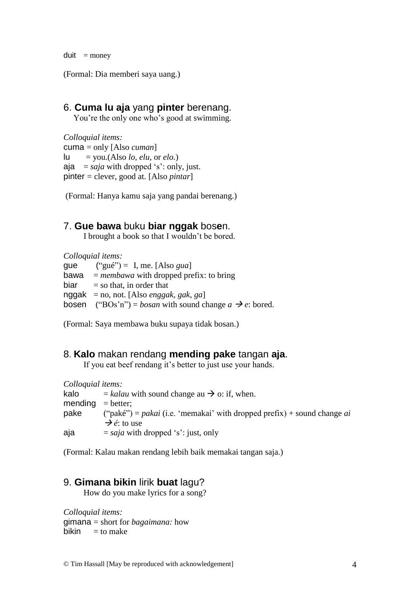$du$ it = money

(Formal: Dia memberi saya uang.)

### 6. **Cuma lu aja** yang **pinter** berenang.

You're the only one who's good at swimming.

*Colloquial items:* cuma = only [Also *cuman*]  $lu = you.(Also *lo, elu*, or *elo*.)$ aja =  $saja$  with dropped 's': only, just. pinter = clever, good at. [Also *pintar*]

(Formal: Hanya kamu saja yang pandai berenang.)

#### 7. **Gue bawa** buku **biar nggak** bos**e**n.

I brought a book so that I wouldn't be bored.

*Colloquial items:* que  $("gué") = I$ , me. [Also *gua*] bawa =  $membawa$  with dropped prefix: to bring  $bias = so that, in order that$ nggak = no, not. [Also *enggak, gak, ga*] bosen ("BOs'n") = *bosan* with sound change  $a \rightarrow e$ : bored.

(Formal: Saya membawa buku supaya tidak bosan.)

#### 8. **Kalo** makan rendang **mending pake** tangan **aja**.

If you eat beef rendang it's better to just use your hands.

*Colloquial items:* kalo  $=$  *kalau* with sound change au  $\rightarrow$  o: if, when.  $mending = better;$ pake ("paké") = *pakai* (i.e. 'memakai' with dropped prefix) + sound change *ai*  **→**  $\acute{e}$ : to use  $a$ ja  $=$  *saja* with dropped 's': just, only

(Formal: Kalau makan rendang lebih baik memakai tangan saja.)

#### 9. **Gimana bikin** lirik **buat** lagu?

How do you make lyrics for a song?

*Colloquial items:* gimana = short for *bagaimana:* how bikin  $=$  to make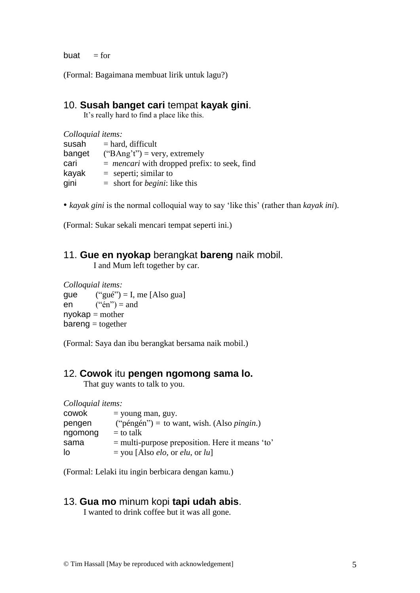buat  $=$  for

(Formal: Bagaimana membuat lirik untuk lagu?)

#### 10. **Susah banget cari** tempat **kayak gini**.

It's really hard to find a place like this.

| Colloquial items: |                                                       |
|-------------------|-------------------------------------------------------|
| susah             | $=$ hard, difficult                                   |
| banget            | $("BAng't")$ = very, extremely                        |
| cari              | $=$ <i>mencari</i> with dropped prefix: to seek, find |
| kayak             | $=$ seperti; similar to                               |
| gini              | $=$ short for <i>begini</i> : like this               |

• *kayak gini* is the normal colloquial way to say 'like this' (rather than *kayak ini*).

(Formal: Sukar sekali mencari tempat seperti ini.)

### 11. **Gue en nyokap** berangkat **bareng** naik mobil.

I and Mum left together by car.

*Colloquial items:* gue  $("gué") = I$ , me [Also gua]  $en$  ("én") = and  $n$ yoka $p =$  mother  $bareng = together$ 

(Formal: Saya dan ibu berangkat bersama naik mobil.)

### 12. **Cowok** itu **pengen ngomong sama lo.**

That guy wants to talk to you.

| Colloquial items: |                                                           |
|-------------------|-----------------------------------------------------------|
| cowok             | $=$ young man, guy.                                       |
| pengen            | ("péngén") = to want, wish. (Also <i>pingin</i> .)        |
| ngomong           | $=$ to talk                                               |
| sama              | $=$ multi-purpose preposition. Here it means 'to'         |
| lo                | $=$ you [Also <i>elo</i> , or <i>elu</i> , or <i>lu</i> ] |

(Formal: Lelaki itu ingin berbicara dengan kamu.)

## 13. **Gua mo** minum kopi **tapi udah abis**.

I wanted to drink coffee but it was all gone.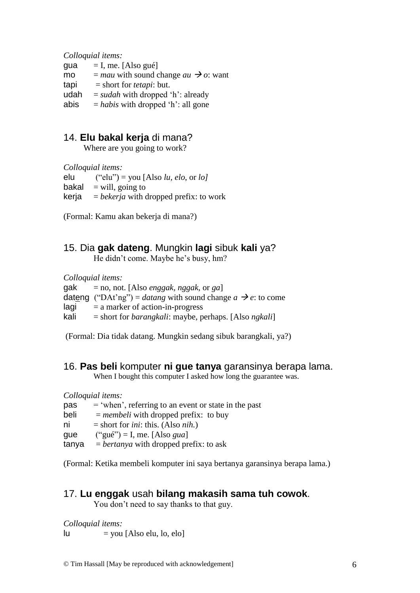*Colloquial items:*

| gua  | $=$ I, me. [Also gué]                              |
|------|----------------------------------------------------|
| mo   | $=$ mau with sound change au $\rightarrow$ o: want |
| tapi | $=$ short for <i>tetapi</i> : but.                 |
| udah | $=$ sudah with dropped 'h': already                |
| abis | $=$ <i>habis</i> with dropped 'h': all gone        |

## 14. **Elu bakal kerja** di mana?

Where are you going to work?

*Colloquial items:*

| elu   | ("elu") = you [Also lu, elo, or lo]             |
|-------|-------------------------------------------------|
|       | bakal $=$ will, going to                        |
| kerja | $=$ <i>bekerja</i> with dropped prefix: to work |

(Formal: Kamu akan bekerja di mana?)

#### 15. Dia **gak dateng**. Mungkin **lagi** sibuk **kali** ya?

He didn't come. Maybe he's busy, hm?

*Colloquial items:*

gak = no, not. [Also *enggak, nggak*, or *ga*] dateng ("DAt'ng") = *datang* with sound change  $a \rightarrow e$ : to come  $\text{lagi}$  = a marker of action-in-progress kali = short for *barangkali*: maybe, perhaps. [Also *ngkali*]

(Formal: Dia tidak datang. Mungkin sedang sibuk barangkali, ya?)

## 16. **Pas beli** komputer **ni gue tanya** garansinya berapa lama.

When I bought this computer I asked how long the guarantee was.

|       | Colloquial items:                                      |
|-------|--------------------------------------------------------|
| pas   | $=$ 'when', referring to an event or state in the past |
| beli  | $=$ <i>membeli</i> with dropped prefix: to buy         |
| ni    | $=$ short for <i>ini</i> : this. (Also <i>nih.</i> )   |
| gue   | ("gué") = I, me. [Also <i>gua</i> ]                    |
| tanya | $=$ <i>bertanya</i> with dropped prefix: to ask        |

(Formal: Ketika membeli komputer ini saya bertanya garansinya berapa lama.)

#### 17. **Lu enggak** usah **bilang makasih sama tuh cowok**.

You don't need to say thanks to that guy.

*Colloquial items:*  $|u|$  = you [Also elu, lo, elo]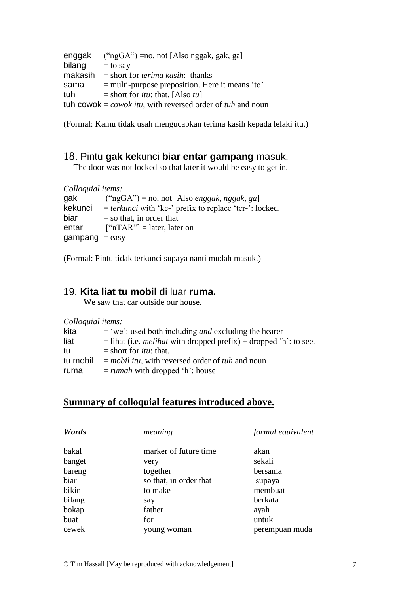```
enggak ("ngGA") =no, not [Also nggak, gak, ga]
bilang = to say
makasih = short for terima kasih: thanks
sama = multi-purpose preposition. Here it means 'to'
tuh = short for itu: that. [Also tu]
tuh cowok = \cos(k) tu<sub>k</sub>, with reversed order of tuh and noun
```
(Formal: Kamu tidak usah mengucapkan terima kasih kepada lelaki itu.)

#### 18. Pintu **gak ke**kunci **biar entar gampang** masuk.

The door was not locked so that later it would be easy to get in.

*Colloquial items:*

| gak            | ("ngGA") = no, not [Also <i>enggak, nggak, ga</i> ]              |
|----------------|------------------------------------------------------------------|
| kekunci        | $=$ <i>terkunci</i> with 'ke-' prefix to replace 'ter-': locked. |
| biar           | $=$ so that, in order that                                       |
| entar          | $\lceil$ "nTAR" $\rceil$ = later, later on                       |
| $gamma = easy$ |                                                                  |

(Formal: Pintu tidak terkunci supaya nanti mudah masuk.)

#### 19. **Kita liat tu mobil** di luar **ruma.**

We saw that car outside our house.

| Colloquial items: |                                                                            |
|-------------------|----------------------------------------------------------------------------|
| kita              | $=$ 'we': used both including <i>and</i> excluding the hearer              |
| liat              | $=$ lihat (i.e. <i>melihat</i> with dropped prefix) + dropped 'h': to see. |
| tu                | $=$ short for <i>itu</i> : that.                                           |
| tu mobil          | $=$ mobil itu, with reversed order of tuh and noun                         |
| ruma              | $= runah$ with dropped 'h': house                                          |

#### **Summary of colloquial features introduced above.**

| Words  | meaning                | formal equivalent |
|--------|------------------------|-------------------|
| bakal  | marker of future time. | akan              |
| banget | very                   | sekali            |
| bareng | together               | bersama           |
| biar   | so that, in order that | supaya            |
| bikin  | to make                | membuat           |
| bilang | say                    | berkata           |
| bokap  | father                 | ayah              |
| buat   | for                    | untuk             |
| cewek  | young woman            | perempuan muda    |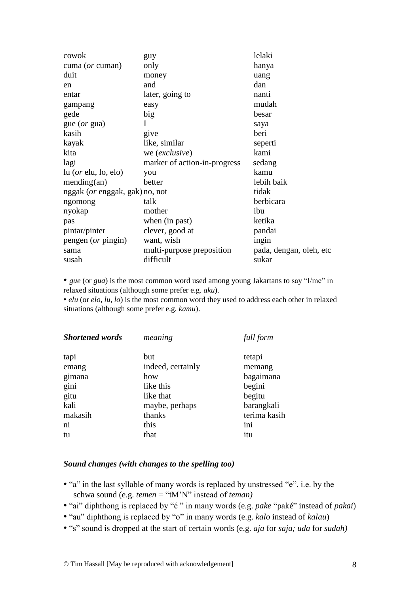| cowok                                  | guy                          | lelaki                  |
|----------------------------------------|------------------------------|-------------------------|
| cuma (or cuman)                        | only                         | hanya                   |
| duit                                   | money                        | uang                    |
| en                                     | and                          | dan                     |
| entar                                  | later, going to              | nanti                   |
| gampang                                | easy                         | mudah                   |
| gede                                   | big                          | besar                   |
| gue ( <i>or</i> gua)                   | I                            | saya                    |
| kasih                                  | give                         | beri                    |
| kayak                                  | like, similar                | seperti                 |
| kita                                   | we (exclusive)               | kami                    |
| lagi                                   | marker of action-in-progress | sedang                  |
| $\ln$ ( <i>or</i> elu, lo, elo)        | you                          | kamu                    |
| mending(an)                            | better                       | lebih baik              |
| nggak ( <i>or</i> enggak, gak) no, not |                              | tidak                   |
| ngomong                                | talk                         | berbicara               |
| nyokap                                 | mother                       | ibu                     |
| pas                                    | when (in past)               | ketika                  |
| pintar/pinter                          | clever, good at              | pandai                  |
| pengen (or pingin)                     | want, wish                   | ingin                   |
| sama                                   | multi-purpose preposition    | pada, dengan, oleh, etc |
| susah                                  | difficult                    | sukar                   |

• *gue* (or *gua*) is the most common word used among young Jakartans to say "I/me" in relaxed situations (although some prefer e.g. *aku*).

• *elu* (or *elo, lu, lo*) is the most common word they used to address each other in relaxed situations (although some prefer e.g. *kamu*).

| <b>Shortened words</b> | meaning           | full form    |
|------------------------|-------------------|--------------|
| tapi                   | but               | tetapi       |
| emang                  | indeed, certainly | memang       |
| gimana                 | how               | bagaimana    |
| gini                   | like this         | begini       |
| gitu                   | like that         | begitu       |
| kali                   | maybe, perhaps    | barangkali   |
| makasih                | thanks            | terima kasih |
| ni                     | this              | ini          |
| tu                     | that              | itu          |

#### *Sound changes (with changes to the spelling too)*

- "a" in the last syllable of many words is replaced by unstressed "e", i.e. by the schwa sound (e.g. *temen* = "tM'N" instead of *teman)*
- "ai" diphthong is replaced by "é " in many words (e.g. *pake* "paké" instead of *pakai*)
- "au" diphthong is replaced by "o" in many words (e.g. *kalo* instead of *kalau*)
- "s" sound is dropped at the start of certain words (e.g. *aja* for *saja; uda* for *sudah)*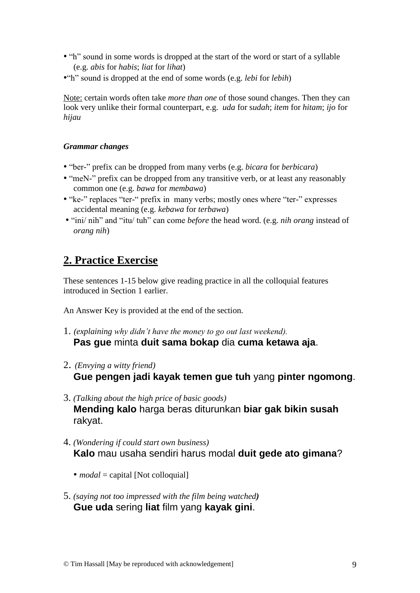- "h" sound in some words is dropped at the start of the word or start of a syllable (e.g. *abis* for *habis*; *liat* for *lihat*)
- •"h" sound is dropped at the end of some words (e.g. *lebi* for *lebih*)

Note: certain words often take *more than one* of those sound changes. Then they can look very unlike their formal counterpart, e.g. *uda* for s*udah*; *item* for *hitam*; *ijo* for *hijau*

#### *Grammar changes*

- "ber-" prefix can be dropped from many verbs (e.g. *bicara* for *berbicara*)
- "meN-" prefix can be dropped from any transitive verb, or at least any reasonably common one (e.g. *bawa* for *membawa*)
- "ke-" replaces "ter-" prefix in many verbs; mostly ones where "ter-" expresses accidental meaning (e.g. *kebawa* for *terbawa*)
- "ini/ nih" and "itu/ tuh" can come *before* the head word. (e.g. *nih orang* instead of *orang nih*)

# **2. Practice Exercise**

These sentences 1-15 below give reading practice in all the colloquial features introduced in Section 1 earlier.

An Answer Key is provided at the end of the section.

- 1. *(explaining why didn't have the money to go out last weekend).* **Pas gue** minta **duit sama bokap** dia **cuma ketawa aja**.
- 2. *(Envying a witty friend)* **Gue pengen jadi kayak temen gue tuh** yang **pinter ngomong**.
- 3. *(Talking about the high price of basic goods)* **Mending kalo** harga beras diturunkan **biar gak bikin susah** rakyat.
- 4. *(Wondering if could start own business)* **Kalo** mau usaha sendiri harus modal **duit gede ato gimana**?
	- *modal* = capital [Not colloquial]
- 5. *(saying not too impressed with the film being watched)*  **Gue uda** sering **liat** film yang **kayak gini**.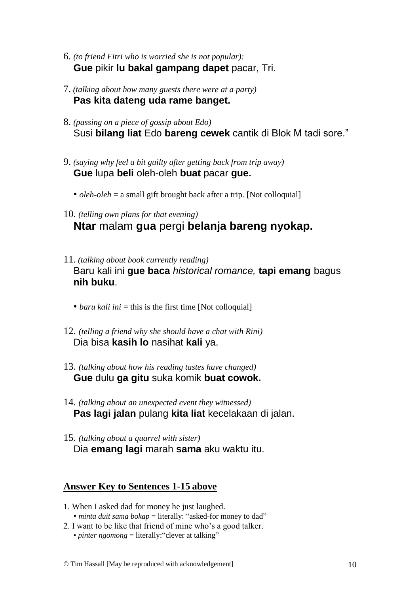- 6. *(to friend Fitri who is worried she is not popular):* **Gue** pikir **lu bakal gampang dapet** pacar, Tri.
- 7. *(talking about how many guests there were at a party)* **Pas kita dateng uda rame banget.**
- 8. *(passing on a piece of gossip about Edo)* Susi **bilang liat** Edo **bareng cewek** cantik di Blok M tadi sore."
- 9. *(saying why feel a bit guilty after getting back from trip away)* **Gue** lupa **beli** oleh-oleh **buat** pacar **gue.**
	- *oleh-oleh* = a small gift brought back after a trip. [Not colloquial]
- 10. *(telling own plans for that evening)* **Ntar** malam **gua** pergi **belanja bareng nyokap.**
- 11. *(talking about book currently reading)*  Baru kali ini **gue baca** *historical romance,* **tapi emang** bagus **nih buku**.
	- *baru kali ini* = this is the first time [Not colloquial]
- 12. *(telling a friend why she should have a chat with Rini)*  Dia bisa **kasih lo** nasihat **kali** ya.
- 13. *(talking about how his reading tastes have changed)* **Gue** dulu **ga gitu** suka komik **buat cowok.**
- 14. *(talking about an unexpected event they witnessed)* **Pas lagi jalan** pulang **kita liat** kecelakaan di jalan.
- 15. *(talking about a quarrel with sister)* Dia **emang lagi** marah **sama** aku waktu itu.

## **Answer Key to Sentences 1-15 above**

- 1. When I asked dad for money he just laughed. • *minta duit sama bokap* = literally: "asked-for money to dad"
- 2. I want to be like that friend of mine who's a good talker. • *pinter ngomong* = literally: "clever at talking"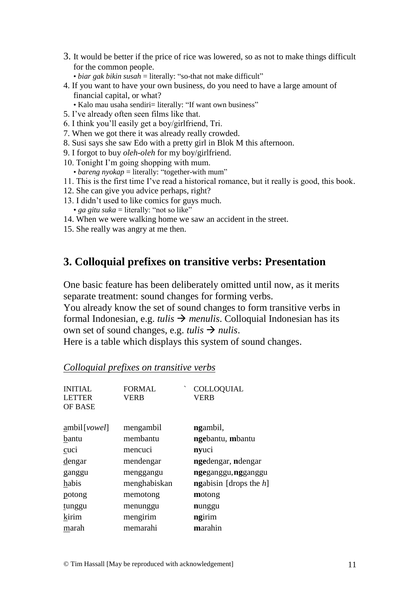- 3. It would be better if the price of rice was lowered, so as not to make things difficult for the common people.
	- *biar gak bikin susah* = literally: "so-that not make difficult"
- 4. If you want to have your own business, do you need to have a large amount of financial capital, or what?
	- Kalo mau usaha sendiri= literally: "If want own business"
- 5. I've already often seen films like that.
- 6. I think you'll easily get a boy/girlfriend, Tri.
- 7. When we got there it was already really crowded.
- 8. Susi says she saw Edo with a pretty girl in Blok M this afternoon.
- 9. I forgot to buy *oleh-oleh* for my boy/girlfriend.
- 10. Tonight I'm going shopping with mum.
- *bareng nyokap* = literally: "together-with mum"
- 11. This is the first time I've read a historical romance, but it really is good, this book.
- 12. She can give you advice perhaps, right?
- 13. I didn't used to like comics for guys much.
	- *ga gitu suka* = literally: "not so like"
- 14. When we were walking home we saw an accident in the street.
- 15. She really was angry at me then.

## **3. Colloquial prefixes on transitive verbs: Presentation**

One basic feature has been deliberately omitted until now, as it merits separate treatment: sound changes for forming verbs.

You already know the set of sound changes to form transitive verbs in formal Indonesian, e.g. *tulis*  $\rightarrow$  *menulis*. Colloquial Indonesian has its own set of sound changes, e.g. *tulis*  $\rightarrow$  *nulis*.

Here is a table which displays this system of sound changes.

| <b>INITIAL</b><br><b>LETTER</b><br>OF BASE | <b>FORMAL</b><br><b>VERB</b> | COLLOQUIAL<br><b>VERB</b>        |
|--------------------------------------------|------------------------------|----------------------------------|
| ambil[rowel]                               | mengambil                    | ngambil,                         |
| bantu                                      | membantu                     | ngebantu, mbantu                 |
| cuci                                       | mencuci                      | nyuci                            |
| <u>dengar</u>                              | mendengar                    | ngedengar, ndengar               |
| ganggu                                     | menggangu                    | ngeganggu, ngganggu              |
| habis                                      | menghabiskan                 | <b>ngabisin</b> [drops the $h$ ] |
| potong                                     | memotong                     | motong                           |
| tunggu                                     | menunggu                     | nunggu                           |
| kirim                                      | mengirim                     | ngirim                           |
| marah                                      | memarahi                     | marahin                          |

#### *Colloquial prefixes on transitive verbs*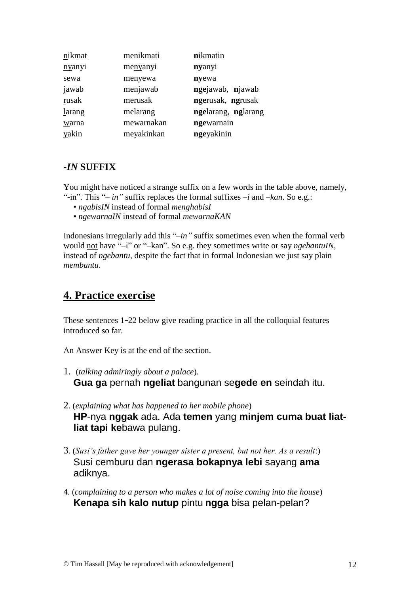| nikmat | menikmati  | nikmatin            |
|--------|------------|---------------------|
| nyanyi | menyanyi   | nyanyi              |
| sewa   | menyewa    | nyewa               |
| jawab  | menjawab   | ngejawab, njawab    |
| rusak  | merusak    | ngerusak, ngrusak   |
| larang | melarang   | ngelarang, nglarang |
| warna  | mewarnakan | ngewarnain          |
| yakin  | meyakinkan | ngeyakinin          |

### *-IN* **SUFFIX**

You might have noticed a strange suffix on a few words in the table above, namely, "-in". This "*– in"* suffix replaces the formal suffixes *–i* and *–kan*. So e.g.:

- *ngabisIN* instead of formal *menghabisI*
- *ngewarnaIN* instead of formal *mewarnaKAN*

Indonesians irregularly add this "*–in"* suffix sometimes even when the formal verb would not have "–i" or "–kan". So e.g. they sometimes write or say *ngebantuIN,*  instead of *ngebantu,* despite the fact that in formal Indonesian we just say plain *membantu*.

# **4. Practice exercise**

These sentences 1-22 below give reading practice in all the colloquial features introduced so far.

An Answer Key is at the end of the section.

- 1. (*talking admiringly about a palace*). **Gua ga** pernah **ngeliat** bangunan se**gede en** seindah itu.
- 2. (*explaining what has happened to her mobile phone*) **HP**-nya **nggak** ada. Ada **temen** yang **minjem cuma buat liatliat tapi ke**bawa pulang.
- 3. (*Susi's father gave her younger sister a present, but not her. As a result*:) Susi cemburu dan **ngerasa bokapnya lebi** sayang **ama** adiknya.
- 4. (*complaining to a person who makes a lot of noise coming into the house*) **Kenapa sih kalo nutup** pintu **ngga** bisa pelan-pelan?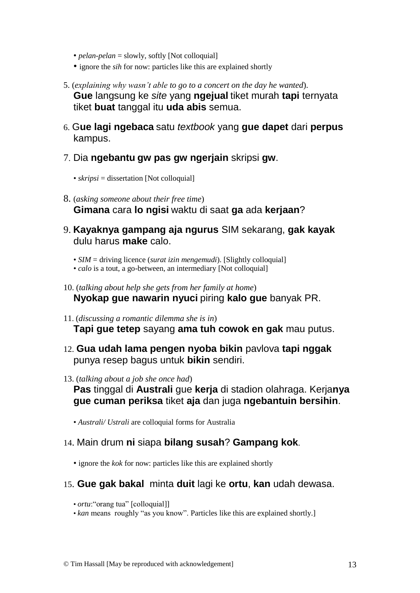- *pelan-pelan* = slowly, softly [Not colloquial]
- ignore the *sih* for now: particles like this are explained shortly
- 5. (*explaining why wasn't able to go to a concert on the day he wanted*). **Gue** langsung ke *site* yang **ngejual** tiket murah **tapi** ternyata tiket **buat** tanggal itu **uda abis** semua.
- 6. G**ue lagi ngebaca** satu *textbook* yang **gue dapet** dari **perpus** kampus.
- 7. Dia **ngebantu gw pas gw ngerjain** skripsi **gw**.
	- *skripsi* = dissertation [Not colloquial]
- 8. (*asking someone about their free time*) **Gimana** cara **lo ngisi** waktu di saat **ga** ada **kerjaan**?
- 9. **Kayaknya gampang aja ngurus** SIM sekarang, **gak kayak** dulu harus **make** calo.
	- *SIM* = driving licence (*surat izin mengemudi*). [Slightly colloquial]
	- *calo* is a tout, a go-between, an intermediary [Not colloquial]
- 10. (*talking about help she gets from her family at home*) **Nyokap gue nawarin nyuci** piring **kalo gue** banyak PR.
- 11. (*discussing a romantic dilemma she is in*) **Tapi gue tetep** sayang **ama tuh cowok en gak** mau putus.
- 12. **Gua udah lama pengen nyoba bikin** pavlova **tapi nggak** punya resep bagus untuk **bikin** sendiri.
- 13. (*talking about a job she once had*)
	- **Pas** tinggal di **Australi** gue **kerja** di stadion olahraga. Kerja**nya gue cuman periksa** tiket **aja** dan juga **ngebantuin bersihin**.
	- *Australi/ Ustrali* are colloquial forms for Australia
- 14. Main drum **ni** siapa **bilang susah**? **Gampang kok**.
	- ignore the *kok* for now: particles like this are explained shortly
- 15. **Gue gak bakal** minta **duit** lagi ke **ortu**, **kan** udah dewasa.
	- *ortu*: "orang tua" [colloquial]]
	- *kan* means roughly "as you know". Particles like this are explained shortly.]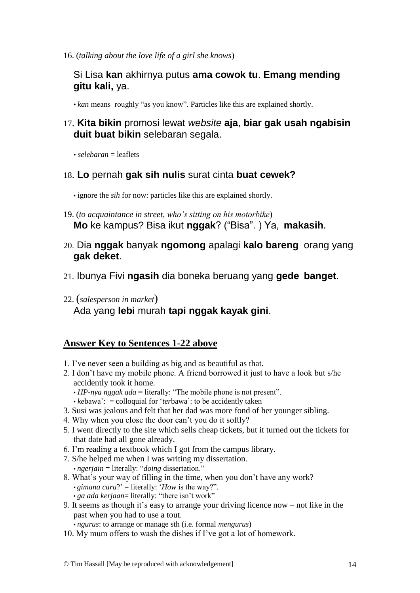16. (*talking about the love life of a girl she knows*)

## Si Lisa **kan** akhirnya putus **ama cowok tu**. **Emang mending gitu kali,** ya.

• *kan* means roughly "as you know". Particles like this are explained shortly.

## 17. **Kita bikin** promosi lewat *website* **aja**, **biar gak usah ngabisin duit buat bikin** selebaran segala.

 $\cdot$  *selebaran*  $=$  leaflets

#### 18. **Lo** pernah **gak sih nulis** surat cinta **buat cewek?**

• ignore the *sih* for now: particles like this are explained shortly.

- 19. (*to acquaintance in street, who's sitting on his motorbike*) **Mo** ke kampus? Bisa ikut **nggak**? ("Bisa". ) Ya, **makasih**.
- 20. Dia **nggak** banyak **ngomong** apalagi **kalo bareng** orang yang **gak deket**.
- 21. Ibunya Fivi **ngasih** dia boneka beruang yang **gede banget**.
- 22. (*salesperson in market*) Ada yang **lebi** murah **tapi nggak kayak gini**.

#### **Answer Key to Sentences 1-22 above**

- 1. I've never seen a building as big and as beautiful as that.
- 2. I don't have my mobile phone. A friend borrowed it just to have a look but s/he accidently took it home.
	- $\cdot$  *HP-nya nggak ada* = literally: "The mobile phone is not present".
	- *kebawa'*: = colloquial for '*terbawa'*: to be accidently taken
- 3. Susi was jealous and felt that her dad was more fond of her younger sibling.
- 4. Why when you close the door can't you do it softly?
- 5. I went directly to the site which sells cheap tickets, but it turned out the tickets for that date had all gone already.
- 6. I'm reading a textbook which I got from the campus library.
- 7. S/he helped me when I was writing my dissertation. • *ngerjain* = literally: "*doing* dissertation."
- 8. What's your way of filling in the time, when you don't have any work? • *gimana cara*?' = literally: '*How* is the way?". • *ga ada kerjaan*= literally: "there isn't work"
- 9. It seems as though it's easy to arrange your driving licence now not like in the past when you had to use a tout.

• *ngurus*: to arrange or manage sth (i.e. formal *mengurus*)

10. My mum offers to wash the dishes if I've got a lot of homework.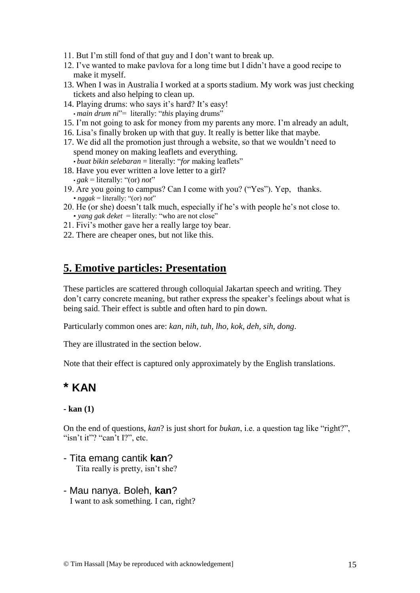- 11. But I'm still fond of that guy and I don't want to break up.
- 12. I've wanted to make pavlova for a long time but I didn't have a good recipe to make it myself.
- 13. When I was in Australia I worked at a sports stadium. My work was just checking tickets and also helping to clean up.
- 14. Playing drums: who says it's hard? It's easy! • *main drum ni*"= literally: "*this* playing drums"
- 15. I'm not going to ask for money from my parents any more. I'm already an adult,
- 16. Lisa's finally broken up with that guy. It really is better like that maybe.
- 17. We did all the promotion just through a website, so that we wouldn't need to spend money on making leaflets and everything.
- *buat bikin selebaran* = literally: "*for* making leaflets"
- 18. Have you ever written a love letter to a girl?  $\cdot$  *gak* = literally: "(or) *not*"
- 19. Are you going to campus? Can I come with you? ("Yes"). Yep, thanks. • *nggak* = literally: "(or) *not*"
- 20. He (or she) doesn't talk much, especially if he's with people he's not close to. • *yang gak deket* = literally: "who are not close"
- 21. Fivi's mother gave her a really large toy bear.
- 22. There are cheaper ones, but not like this.

## **5. Emotive particles: Presentation**

These particles are scattered through colloquial Jakartan speech and writing. They don't carry concrete meaning, but rather express the speaker's feelings about what is being said. Their effect is subtle and often hard to pin down.

Particularly common ones are: *kan, nih, tuh, lho, kok, deh, sih, dong*.

They are illustrated in the section below.

Note that their effect is captured only approximately by the English translations.

# **\* KAN**

#### **- kan (1)**

On the end of questions, *kan*? is just short for *bukan*, i.e. a question tag like "right?", "isn't it"? "can't I?", etc.

- Tita emang cantik **kan**? Tita really is pretty, isn't she?

#### - Mau nanya. Boleh, **kan**? I want to ask something. I can, right?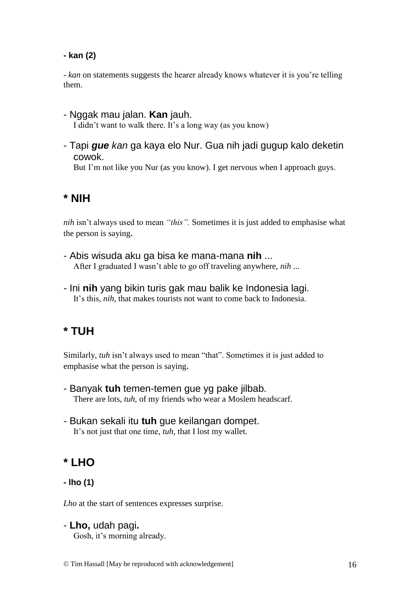### **- kan (2)**

- *kan* on statements suggests the hearer already knows whatever it is you're telling them.

- Nggak mau jalan. **Kan** jauh. I didn't want to walk there. It's a long way (as you know)
- Tapi *gue kan* ga kaya elo Nur. Gua nih jadi gugup kalo deketin cowok.

But I'm not like you Nur (as you know). I get nervous when I approach guys.

# **\* NIH**

*nih* isn't always used to mean *"this".* Sometimes it is just added to emphasise what the person is saying.

- Abis wisuda aku ga bisa ke mana-mana **nih** ... After I graduated I wasn't able to go off traveling anywhere, *nih* ...
- *-* Ini **nih** yang bikin turis gak mau balik ke Indonesia lagi. It's this, *nih,* that makes tourists not want to come back to Indonesia.

# **\* TUH**

Similarly, *tuh* isn't always used to mean "that". Sometimes it is just added to emphasise what the person is saying.

- Banyak **tuh** temen-temen gue yg pake jilbab. There are lots, *tuh,* of my friends who wear a Moslem headscarf.
- Bukan sekali itu **tuh** gue keilangan dompet. It's not just that one time, *tuh,* that I lost my wallet.

# **\* LHO**

## **- lho (1)**

*Lho* at the start of sentences expresses surprise.

- **Lho,** udah pagi**.**

Gosh, it's morning already.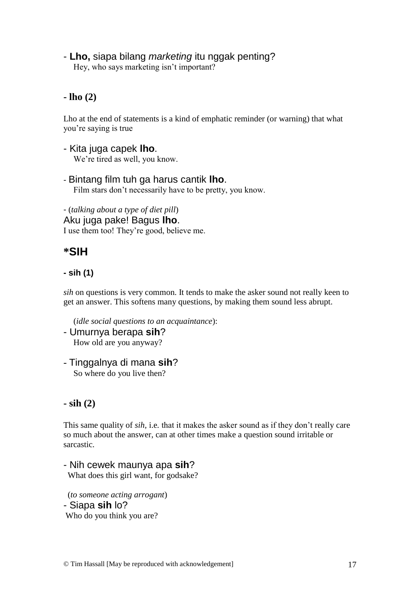## - **Lho,** siapa bilang *marketing* itu nggak penting?

Hey, who says marketing isn't important?

## **- lho (2)**

Lho at the end of statements is a kind of emphatic reminder (or warning) that what you're saying is true

- Kita juga capek **lho**. We're tired as well, you know.
- Bintang film tuh ga harus cantik **lho**. Film stars don't necessarily have to be pretty, you know.

- (*talking about a type of diet pill*) Aku juga pake! Bagus **lho**. I use them too! They're good, believe me.

# **\*SIH**

### **- sih (1)**

*sih* on questions is very common. It tends to make the asker sound not really keen to get an answer. This softens many questions, by making them sound less abrupt.

(*idle social questions to an acquaintance*):

- Umurnya berapa **sih**? How old are you anyway?
- Tinggalnya di mana **sih**? So where do you live then?

## **- sih (2)**

This same quality of *sih,* i.e*.* that it makes the asker sound as if they don't really care so much about the answer, can at other times make a question sound irritable or sarcastic.

- Nih cewek maunya apa **sih**? What does this girl want, for godsake?

 (*to someone acting arrogant*) - Siapa **sih** lo? Who do you think you are?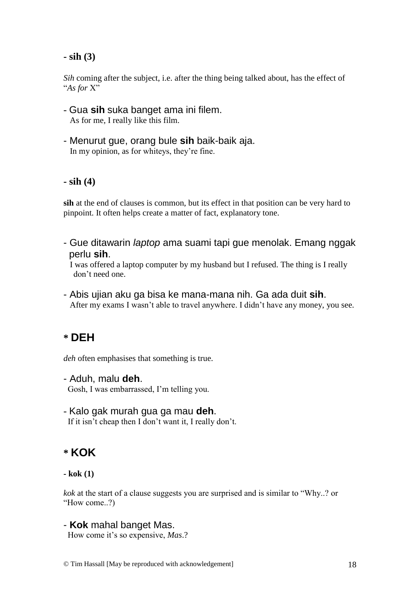#### **- sih (3)**

*Sih* coming after the subject, i.e. after the thing being talked about, has the effect of "*As for* X"

- Gua **sih** suka banget ama ini filem. As for me, I really like this film.
- Menurut gue, orang bule **sih** baik-baik aja. In my opinion, as for whiteys, they're fine.

#### **- sih (4)**

**sih** at the end of clauses is common, but its effect in that position can be very hard to pinpoint. It often helps create a matter of fact, explanatory tone.

- Gue ditawarin *laptop* ama suami tapi gue menolak. Emang nggak perlu **sih**.

 I was offered a laptop computer by my husband but I refused. The thing is I really don't need one.

- Abis ujian aku ga bisa ke mana-mana nih. Ga ada duit **sih**. After my exams I wasn't able to travel anywhere. I didn't have any money, you see.

# **\* DEH**

*deh* often emphasises that something is true.

- Aduh, malu **deh**. Gosh, I was embarrassed, I'm telling you.
- Kalo gak murah gua ga mau **deh**. If it isn't cheap then I don't want it, I really don't.

## **\* KOK**

*kok* at the start of a clause suggests you are surprised and is similar to "Why..? or "How come..?)

#### - **Kok** mahal banget Mas.

How come it's so expensive, *Mas*.?

**<sup>-</sup> kok (1)**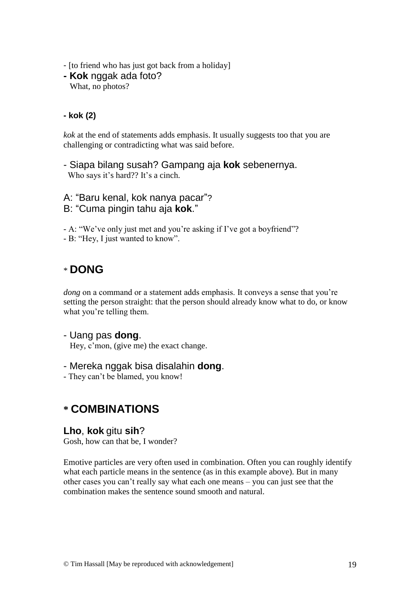- [to friend who has just got back from a holiday]
- **- Kok** nggak ada foto? What, no photos?

#### **- kok (2)**

*kok* at the end of statements adds emphasis. It usually suggests too that you are challenging or contradicting what was said before.

- Siapa bilang susah? Gampang aja **kok** sebenernya. Who says it's hard?? It's a cinch.

A: "Baru kenal, kok nanya pacar"? B: "Cuma pingin tahu aja **kok**."

- A: "We've only just met and you're asking if I've got a boyfriend"?

- B: "Hey, I just wanted to know".

# \* **DONG**

*dong* on a command or a statement adds emphasis. It conveys a sense that you're setting the person straight: that the person should already know what to do, or know what you're telling them.

## - Uang pas **dong**.

Hey, c'mon, (give me) the exact change.

#### - Mereka nggak bisa disalahin **dong**.

- They can't be blamed, you know!

# **\* COMBINATIONS**

#### **Lho**, **kok** gitu **sih**?

Gosh, how can that be, I wonder?

Emotive particles are very often used in combination. Often you can roughly identify what each particle means in the sentence (as in this example above). But in many other cases you can't really say what each one means – you can just see that the combination makes the sentence sound smooth and natural.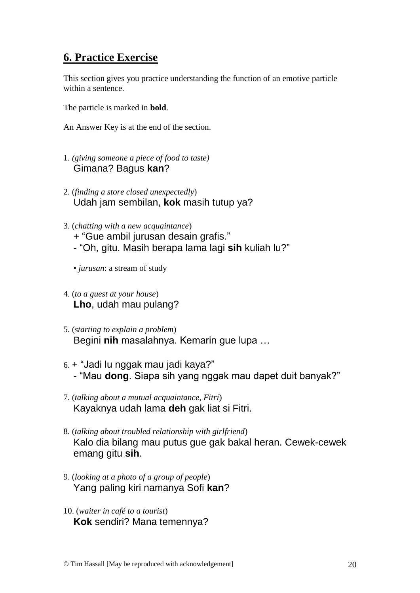# **6. Practice Exercise**

This section gives you practice understanding the function of an emotive particle within a sentence.

The particle is marked in **bold**.

An Answer Key is at the end of the section.

- 1. *(giving someone a piece of food to taste)* Gimana? Bagus **kan**?
- 2. (*finding a store closed unexpectedly*) Udah jam sembilan, **kok** masih tutup ya?
- 3. (*chatting with a new acquaintance*)
	- + "Gue ambil jurusan desain grafis."
	- "Oh, gitu. Masih berapa lama lagi **sih** kuliah lu?"
	- *jurusan*: a stream of study
- 4. (*to a guest at your house*) **Lho**, udah mau pulang?
- 5. (*starting to explain a problem*) Begini **nih** masalahnya. Kemarin gue lupa …
- 6. + "Jadi lu nggak mau jadi kaya?" - "Mau **dong**. Siapa sih yang nggak mau dapet duit banyak?"
- 7. (*talking about a mutual acquaintance, Fitri*) Kayaknya udah lama **deh** gak liat si Fitri.
- 8. (*talking about troubled relationship with girlfriend*) Kalo dia bilang mau putus gue gak bakal heran. Cewek-cewek emang gitu **sih**.
- 9. (*looking at a photo of a group of people*) Yang paling kiri namanya Sofi **kan**?
- 10. (*waiter in café to a tourist*) **Kok** sendiri? Mana temennya?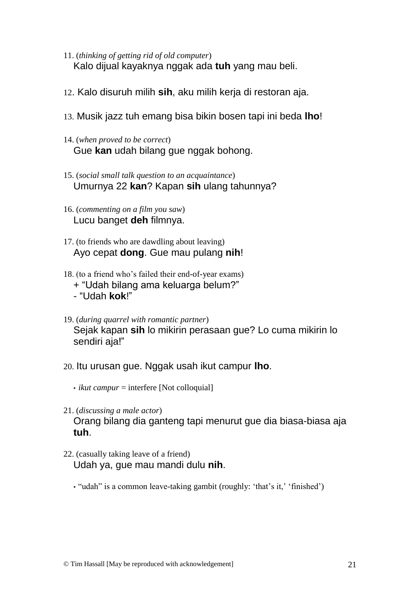- 11. (*thinking of getting rid of old computer*) Kalo dijual kayaknya nggak ada **tuh** yang mau beli.
- 12. Kalo disuruh milih **sih**, aku milih kerja di restoran aja.
- 13. Musik jazz tuh emang bisa bikin bosen tapi ini beda **lho**!
- 14. (*when proved to be correct*) Gue **kan** udah bilang gue nggak bohong.
- 15. (*social small talk question to an acquaintance*) Umurnya 22 **kan**? Kapan **sih** ulang tahunnya?
- 16. (*commenting on a film you saw*) Lucu banget **deh** filmnya.
- 17. (to friends who are dawdling about leaving) Ayo cepat **dong**. Gue mau pulang **nih**!
- 18. (to a friend who's failed their end-of-year exams) + "Udah bilang ama keluarga belum?" - "Udah **kok**!"
- 19. (*during quarrel with romantic partner*) Sejak kapan **sih** lo mikirin perasaan gue? Lo cuma mikirin lo sendiri aja!"
- 20. Itu urusan gue. Nggak usah ikut campur **lho**.
	- *ikut campur* = interfere [Not colloquial]
- 21. (*discussing a male actor*) Orang bilang dia ganteng tapi menurut gue dia biasa-biasa aja **tuh**.
- 22. (casually taking leave of a friend) Udah ya, gue mau mandi dulu **nih**.
	- "udah" is a common leave-taking gambit (roughly: 'that's it,' 'finished')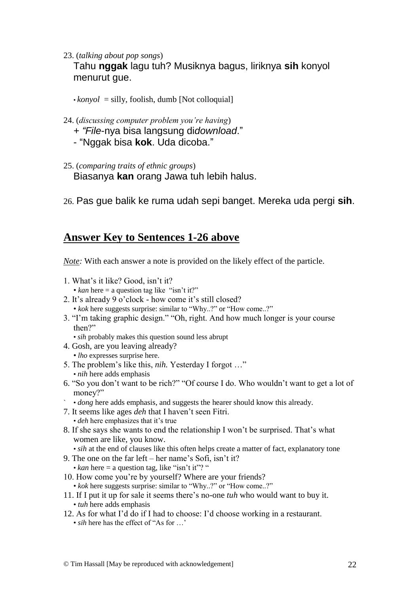23. (*talking about pop songs*)

Tahu **nggak** lagu tuh? Musiknya bagus, liriknya **sih** konyol menurut gue.

 $\cdot$ *konyol* = silly, foolish, dumb [Not colloquial]

- 24. (*discussing computer problem you're having*)
	- *+ "File*-nya bisa langsung di*download*."
	- "Nggak bisa **kok**. Uda dicoba."
- 25. (*comparing traits of ethnic groups*) Biasanya **kan** orang Jawa tuh lebih halus.
- 26. Pas gue balik ke ruma udah sepi banget. Mereka uda pergi **sih**.

## **Answer Key to Sentences 1-26 above**

*Note:* With each answer a note is provided on the likely effect of the particle.

- 1. What's it like? Good, isn't it? •  $kan$  here  $=$  a question tag like "isn't it?"
- 2. It's already 9 o'clock how come it's still closed? • *kok* here suggests surprise: similar to "Why..?" or "How come..?"
- 3. "I'm taking graphic design." "Oh, right. And how much longer is your course then?"

• *sih* probably makes this question sound less abrupt

4. Gosh, are you leaving already?

• *lho* expresses surprise here.

- 5. The problem's like this, *nih.* Yesterday I forgot …" • *nih* here adds emphasis
- 6. "So you don't want to be rich?" "Of course I do. Who wouldn't want to get a lot of money?"
- ` *dong* here adds emphasis, and suggests the hearer should know this already.
- 7. It seems like ages *deh* that I haven't seen Fitri. • *deh* here emphasizes that it's true
- 8. If she says she wants to end the relationship I won't be surprised. That's what women are like, you know.
	- *sih* at the end of clauses like this often helps create a matter of fact, explanatory tone
- 9. The one on the far left her name's Sofi, isn't it?
	- $kan$  here  $=$  a question tag, like "isn't it"? "
- 10. How come you're by yourself? Where are your friends?
	- *kok* here suggests surprise: similar to "Why..?" or "How come..?"
- 11. If I put it up for sale it seems there's no-one *tuh* who would want to buy it. • *tuh* here adds emphasis
- 12. As for what I'd do if I had to choose: I'd choose working in a restaurant. • *sih* here has the effect of "As for ..."